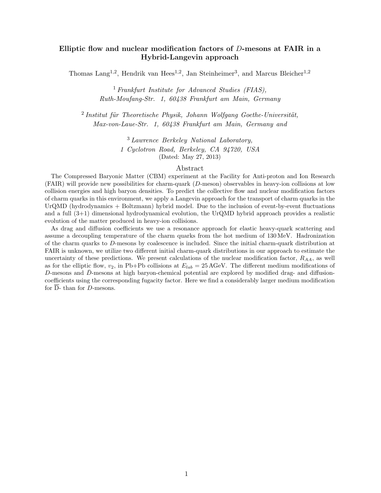# Elliptic flow and nuclear modification factors of D-mesons at FAIR in a Hybrid-Langevin approach

Thomas Lang<sup>1,2</sup>, Hendrik van Hees<sup>1,2</sup>, Jan Steinheimer<sup>3</sup>, and Marcus Bleicher<sup>1,2</sup>

<sup>1</sup> Frankfurt Institute for Advanced Studies (FIAS), Ruth-Moufang-Str. 1, 60438 Frankfurt am Main, Germany

 $2$ Institut für Theoretische Physik, Johann Wolfgang Goethe-Universität, Max-von-Laue-Str. 1, 60438 Frankfurt am Main, Germany and

> <sup>3</sup> Lawrence Berkeley National Laboratory, 1 Cyclotron Road, Berkeley, CA 94720, USA (Dated: May 27, 2013)

### Abstract

The Compressed Baryonic Matter (CBM) experiment at the Facility for Anti-proton and Ion Research (FAIR) will provide new possibilities for charm-quark (D-meson) observables in heavy-ion collisions at low collision energies and high baryon densities. To predict the collective flow and nuclear modification factors of charm quarks in this environment, we apply a Langevin approach for the transport of charm quarks in the UrQMD (hydrodynamics + Boltzmann) hybrid model. Due to the inclusion of event-by-event fluctuations and a full (3+1) dimensional hydrodynamical evolution, the UrQMD hybrid approach provides a realistic evolution of the matter produced in heavy-ion collisions.

As drag and diffusion coefficients we use a resonance approach for elastic heavy-quark scattering and assume a decoupling temperature of the charm quarks from the hot medium of 130 MeV. Hadronization of the charm quarks to D-mesons by coalescence is included. Since the initial charm-quark distribution at FAIR is unknown, we utilize two different initial charm-quark distributions in our approach to estimate the uncertainty of these predictions. We present calculations of the nuclear modification factor,  $R_{AA}$ , as well as for the elliptic flow,  $v_2$ , in Pb+Pb collisions at  $E_{lab} = 25 \,\text{AGeV}$ . The different medium modifications of D-mesons and  $\bar{D}$ -mesons at high baryon-chemical potential are explored by modified drag- and diffusioncoefficients using the corresponding fugacity factor. Here we find a considerably larger medium modification for  $\overline{D}$ - than for D-mesons.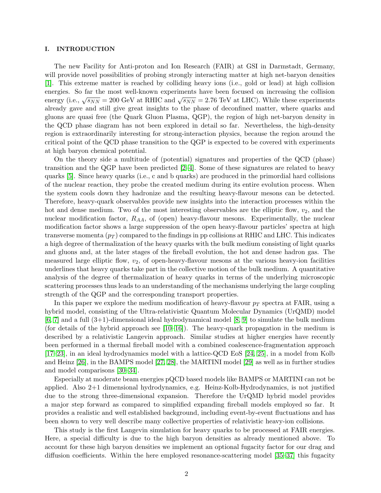### I. INTRODUCTION

The new Facility for Anti-proton and Ion Research (FAIR) at GSI in Darmstadt, Germany, will provide novel possibilities of probing strongly interacting matter at high net-baryon densities [\[1\]](#page-7-0). This extreme matter is reached by colliding heavy ions (i.e., gold or lead) at high collision energies. So far the most well-known experiments have been focused on increasing the collision energy (i.e.,  $\sqrt{s_{NN}}$  = 200 GeV at RHIC and  $\sqrt{s_{NN}}$  = 2.76 TeV at LHC). While these experiments already gave and still give great insights to the phase of deconfined matter, where quarks and gluons are quasi free (the Quark Gluon Plasma, QGP), the region of high net-baryon density in the QCD phase diagram has not been explored in detail so far. Nevertheless, the high-density region is extraordinarily interesting for strong-interaction physics, because the region around the critical point of the QCD phase transition to the QGP is expected to be covered with experiments at high baryon chemical potential.

On the theory side a multitude of (potential) signatures and properties of the QCD (phase) transition and the QGP have been predicted [\[2–](#page-7-1)[4\]](#page-7-2). Some of these signatures are related to heavy quarks [\[5\]](#page-7-3). Since heavy quarks (i.e., c and b quarks) are produced in the primordial hard collisions of the nuclear reaction, they probe the created medium during its entire evolution process. When the system cools down they hadronize and the resulting heavy-flavour mesons can be detected. Therefore, heavy-quark observables provide new insights into the interaction processes within the hot and dense medium. Two of the most interesting observables are the elliptic flow,  $v_2$ , and the nuclear modification factor,  $R_{AA}$ , of (open) heavy-flavour mesons. Experimentally, the nuclear modification factor shows a large suppression of the open heavy-flavour particles' spectra at high transverse momenta  $(p_T)$  compared to the findings in pp collisions at RHIC and LHC. This indicates a high degree of thermalization of the heavy quarks with the bulk medium consisting of light quarks and gluons and, at the later stages of the fireball evolution, the hot and dense hadron gas. The measured large elliptic flow,  $v_2$ , of open-heavy-flavour mesons at the various heavy-ion facilities underlines that heavy quarks take part in the collective motion of the bulk medium. A quantitative analysis of the degree of thermalization of heavy quarks in terms of the underlying microscopic scattering processes thus leads to an understanding of the mechanisms underlying the large coupling strength of the QGP and the corresponding transport properties.

In this paper we explore the medium modification of heavy-flavour  $p_T$  spectra at FAIR, using a hybrid model, consisting of the Ultra-relativistic Quantum Molecular Dynamics (UrQMD) model  $[6, 7]$  $[6, 7]$  and a full  $(3+1)$ -dimensional ideal hydrodynamical model  $[8, 9]$  $[8, 9]$  to simulate the bulk medium (for details of the hybrid approach see  $[10-16]$  $[10-16]$ ). The heavy-quark propagation in the medium is described by a relativistic Langevin approach. Similar studies at higher energies have recently been performed in a thermal fireball model with a combined coalescence-fragmentation approach [\[17](#page-8-5)[–23\]](#page-8-6), in an ideal hydrodynamics model with a lattice-QCD EoS [\[24,](#page-8-7) [25\]](#page-8-8), in a model from Kolb and Heinz [\[26\]](#page-8-9), in the BAMPS model [\[27,](#page-8-10) [28\]](#page-8-11), the MARTINI model [\[29\]](#page-8-12) as well as in further studies and model comparisons [\[30–](#page-8-13)[34\]](#page-8-14).

Especially at moderate beam energies pQCD based models like BAMPS or MARTINI can not be applied. Also 2+1 dimensional hydrodynamics, e.g. Heinz-Kolb-Hydrodynamics, is not justified due to the strong three-dimensional expansion. Therefore the UrQMD hybrid model provides a major step forward as compared to simplified expanding fireball models employed so far. It provides a realistic and well established background, including event-by-event fluctuations and has been shown to very well describe many collective properties of relativistic heavy-ion collisions.

This study is the first Langevin simulation for heavy quarks to be processed at FAIR energies. Here, a special difficulty is due to the high baryon densities as already mentioned above. To account for these high baryon densities we implement an optional fugacity factor for our drag and diffusion coefficients. Within the here employed resonance-scattering model [\[35–](#page-8-15)[37\]](#page-8-16) this fugacity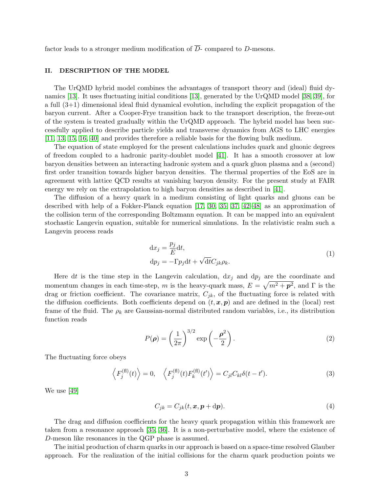factor leads to a stronger medium modification of  $\overline{D}$ - compared to D-mesons.

# II. DESCRIPTION OF THE MODEL

The UrQMD hybrid model combines the advantages of transport theory and (ideal) fluid dynamics [\[13\]](#page-8-17). It uses fluctuating initial conditions [\[13\]](#page-8-17), generated by the UrQMD model [\[38,](#page-8-18) [39\]](#page-8-19), for a full (3+1) dimensional ideal fluid dynamical evolution, including the explicit propagation of the baryon current. After a Cooper-Frye transition back to the transport description, the freeze-out of the system is treated gradually within the UrQMD approach. The hybrid model has been successfully applied to describe particle yields and transverse dynamics from AGS to LHC energies [\[11,](#page-8-20) [13,](#page-8-17) [15,](#page-8-21) [16,](#page-8-4) [40\]](#page-8-22) and provides therefore a reliable basis for the flowing bulk medium.

The equation of state employed for the present calculations includes quark and gluonic degrees of freedom coupled to a hadronic parity-doublet model [\[41\]](#page-8-23). It has a smooth crossover at low baryon densities between an interacting hadronic system and a quark gluon plasma and a (second) first order transition towards higher baryon densities. The thermal properties of the EoS are in agreement with lattice QCD results at vanishing baryon density. For the present study at FAIR energy we rely on the extrapolation to high baryon densities as described in [\[41\]](#page-8-23).

The diffusion of a heavy quark in a medium consisting of light quarks and gluons can be described with help of a Fokker-Planck equation [\[17,](#page-8-5) [30,](#page-8-13) [35,](#page-8-15) [37,](#page-8-16) [42–](#page-8-24)[48\]](#page-8-25) as an approximation of the collision term of the corresponding Boltzmann equation. It can be mapped into an equivalent stochastic Langevin equation, suitable for numerical simulations. In the relativistic realm such a Langevin process reads

$$
dx_j = \frac{p_j}{E} dt,
$$
  
\n
$$
dp_j = -\Gamma p_j dt + \sqrt{dt} C_{jk} \rho_k.
$$
\n(1)

Here dt is the time step in the Langevin calculation,  $dx_j$  and  $dp_j$  are the coordinate and momentum changes in each time-step, m is the heavy-quark mass,  $E = \sqrt{m^2 + p^2}$ , and  $\Gamma$  is the drag or friction coefficient. The covariance matrix,  $C_{jk}$ , of the fluctuating force is related with the diffusion coefficients. Both coefficients depend on  $(t, x, p)$  and are defined in the (local) rest frame of the fluid. The  $\rho_k$  are Gaussian-normal distributed random variables, i.e., its distribution function reads

$$
P(\rho) = \left(\frac{1}{2\pi}\right)^{3/2} \exp\left(-\frac{\rho^2}{2}\right).
$$
 (2)

The fluctuating force obeys

$$
\left\langle F_j^{(\text{fl})}(t) \right\rangle = 0, \quad \left\langle F_j^{(\text{fl})}(t) F_k^{(\text{fl})}(t') \right\rangle = C_{jl} C_{kl} \delta(t - t'). \tag{3}
$$

We use [\[49\]](#page-8-26)

$$
C_{jk} = C_{jk}(t, \mathbf{x}, \mathbf{p} + d\mathbf{p}).
$$
\n(4)

The drag and diffusion coefficients for the heavy quark propagation within this framework are taken from a resonance approach [\[35,](#page-8-15) [36\]](#page-8-27). It is a non-perturbative model, where the existence of D-meson like resonances in the QGP phase is assumed.

The initial production of charm quarks in our approach is based on a space-time resolved Glauber approach. For the realization of the initial collisions for the charm quark production points we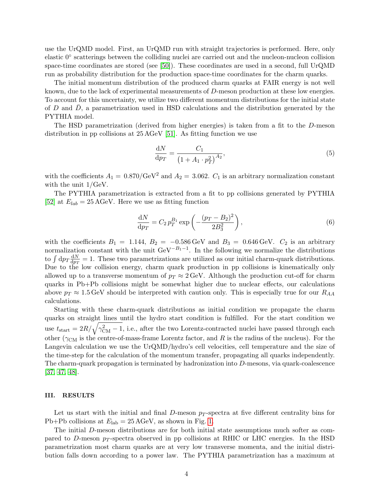use the UrQMD model. First, an UrQMD run with straight trajectories is performed. Here, only elastic 0◦ scatterings between the colliding nuclei are carried out and the nucleon-nucleon collision space-time coordinates are stored (see [\[50\]](#page-8-28)). These coordinates are used in a second, full UrQMD run as probability distribution for the production space-time coordinates for the charm quarks.

The initial momentum distribution of the produced charm quarks at FAIR energy is not well known, due to the lack of experimental measurements of D-meson production at these low energies. To account for this uncertainty, we utilize two different momentum distributions for the initial state of  $D$  and  $D$ , a parametrization used in HSD calculations and the distribution generated by the PYTHIA model.

The HSD parametrization (derived from higher energies) is taken from a fit to the D-meson distribution in pp collisions at 25 AGeV [\[51\]](#page-8-29). As fitting function we use

<span id="page-3-1"></span><span id="page-3-0"></span>
$$
\frac{dN}{dp_T} = \frac{C_1}{\left(1 + A_1 \cdot p_T^2\right)^{A_2}},\tag{5}
$$

with the coefficients  $A_1 = 0.870/\text{GeV}^2$  and  $A_2 = 3.062$ .  $C_1$  is an arbitrary normalization constant with the unit 1/GeV.

The PYTHIA parametrization is extracted from a fit to pp collisions generated by PYTHIA [\[52\]](#page-8-30) at  $E_{lab} = 25 \,\text{AGeV}$ . Here we use as fitting function

$$
\frac{dN}{dp_T} = C_2 p_T^{B_1} \exp\left(-\frac{(p_T - B_2)^2}{2B_3^2}\right),\tag{6}
$$

with the coefficients  $B_1 = 1.144$ ,  $B_2 = -0.586 \,\text{GeV}$  and  $B_3 = 0.646 \,\text{GeV}$ .  $C_2$  is an arbitrary normalization constant with the unit  $\text{GeV}^{-B_1-1}$ . In the following we normalize the distributions to  $\int dp_T \frac{dN}{dp_T}$  $\frac{dN}{dp_T} = 1$ . These two parametrizations are utilized as our initial charm-quark distributions. Due to the low collision energy, charm quark production in pp collisions is kinematically only allowed up to a transverse momentum of  $p_T \approx 2 \,\text{GeV}$ . Although the production cut-off for charm quarks in Pb+Pb collisions might be somewhat higher due to nuclear effects, our calculations above  $p_T \approx 1.5 \,\text{GeV}$  should be interpreted with caution only. This is especially true for our  $R_{AA}$ calculations.

Starting with these charm-quark distributions as initial condition we propagate the charm quarks on straight lines until the hydro start condition is fulfilled. For the start condition we use  $t_{\text{start}} = 2R/\sqrt{\gamma_{\text{CM}}^2 - 1}$ , i.e., after the two Lorentz-contracted nuclei have passed through each other ( $\gamma_{\text{CM}}$  is the centre-of-mass-frame Lorentz factor, and R is the radius of the nucleus). For the Langevin calculation we use the UrQMD/hydro's cell velocities, cell temperature and the size of the time-step for the calculation of the momentum transfer, propagating all quarks independently. The charm-quark propagation is terminated by hadronization into D-mesons, via quark-coalescence [\[37,](#page-8-16) [47,](#page-8-31) [48\]](#page-8-25).

## III. RESULTS

Let us start with the initial and final D-meson  $p_T$ -spectra at five different centrality bins for Pb+Pb collisions at  $E_{\rm lab} = 25 \,\text{AGeV}$ , as shown in Fig. [1.](#page-4-0)

The initial D-meson distributions are for both initial state assumptions much softer as compared to D-meson  $p_T$ -spectra observed in pp collisions at RHIC or LHC energies. In the HSD parametrization most charm quarks are at very low transverse momenta, and the initial distribution falls down according to a power law. The PYTHIA parametrization has a maximum at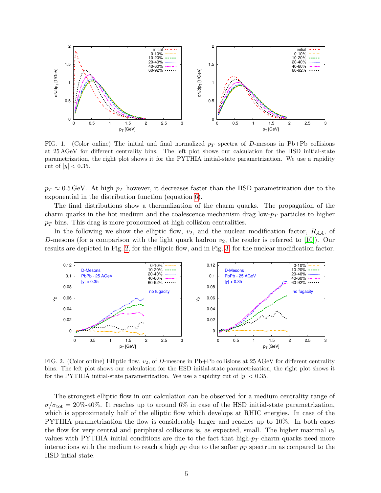

<span id="page-4-0"></span>FIG. 1. (Color online) The initial and final normalized  $p_T$  spectra of D-mesons in Pb+Pb collisions at 25 AGeV for different centrality bins. The left plot shows our calculation for the HSD initial-state parametrization, the right plot shows it for the PYTHIA initial-state parametrization. We use a rapidity cut of  $|y| < 0.35$ .

 $p_T \approx 0.5$  GeV. At high  $p_T$  however, it decreases faster than the HSD parametrization due to the exponential in the distribution function (equation [6\)](#page-3-0).

The final distributions show a thermalization of the charm quarks. The propagation of the charm quarks in the hot medium and the coalescence mechanism drag low- $p_T$  particles to higher  $p_T$  bins. This drag is more pronounced at high collision centralities.

In the following we show the elliptic flow,  $v_2$ , and the nuclear modification factor,  $R_{AA}$ , of D-mesons (for a comparison with the light quark hadron  $v_2$ , the reader is referred to [\[10\]](#page-8-3)). Our results are depicted in Fig. [2,](#page-4-1) for the elliptic flow, and in Fig. [3,](#page-5-0) for the nuclear modification factor.



<span id="page-4-1"></span>FIG. 2. (Color online) Elliptic flow,  $v_2$ , of D-mesons in Pb+Pb collisions at 25 AGeV for different centrality bins. The left plot shows our calculation for the HSD initial-state parametrization, the right plot shows it for the PYTHIA initial-state parametrization. We use a rapidity cut of  $|y| < 0.35$ .

The strongest elliptic flow in our calculation can be observed for a medium centrality range of  $\sigma/\sigma_{\rm tot} = 20\%$ -40%. It reaches up to around 6% in case of the HSD initial-state parametrization, which is approximately half of the elliptic flow which develops at RHIC energies. In case of the PYTHIA parametrization the flow is considerably larger and reaches up to 10%. In both cases the flow for very central and peripheral collisions is, as expected, small. The higher maximal  $v_2$ values with PYTHIA initial conditions are due to the fact that high- $p_T$  charm quarks need more interactions with the medium to reach a high  $p_T$  due to the softer  $p_T$  spectrum as compared to the HSD intial state.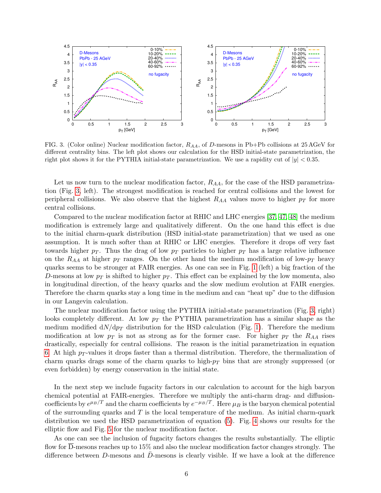

<span id="page-5-0"></span>FIG. 3. (Color online) Nuclear modification factor,  $R_{AA}$ , of D-mesons in Pb+Pb collisions at 25 AGeV for different centrality bins. The left plot shows our calculation for the HSD initial-state parametrization, the right plot shows it for the PYTHIA initial-state parametrization. We use a rapidity cut of  $|y| < 0.35$ .

Let us now turn to the nuclear modification factor,  $R_{AA}$ , for the case of the HSD parametrization (Fig. [3,](#page-5-0) left). The strongest modification is reached for central collisions and the lowest for peripheral collisions. We also observe that the highest  $R_{AA}$  values move to higher  $p_T$  for more central collisions.

Compared to the nuclear modification factor at RHIC and LHC energies [\[37,](#page-8-16) [47,](#page-8-31) [48\]](#page-8-25) the medium modification is extremely large and qualitatively different. On the one hand this effect is due to the initial charm-quark distribution (HSD initial-state parametrization) that we used as one assumption. It is much softer than at RHIC or LHC energies. Therefore it drops off very fast towards higher  $p_T$ . Thus the drag of low  $p_T$  particles to higher  $p_T$  has a large relative influence on the  $R_{AA}$  at higher  $p_T$  ranges. On the other hand the medium modification of low- $p_T$  heavy quarks seems to be stronger at FAIR energies. As one can see in Fig. [1](#page-4-0) (left) a big fraction of the D-mesons at low  $p_T$  is shifted to higher  $p_T$ . This effect can be explained by the low momenta, also in longitudinal direction, of the heavy quarks and the slow medium evolution at FAIR energies. Therefore the charm quarks stay a long time in the medium and can "heat up" due to the diffusion in our Langevin calculation.

The nuclear modification factor using the PYTHIA initial-state parametrization (Fig. [3,](#page-5-0) right) looks completely different. At low  $p<sub>T</sub>$  the PYTHIA parametrization has a similar shape as the medium modified  $dN/dp<sub>T</sub>$  distribution for the HSD calculation (Fig. [1\)](#page-4-0). Therefore the medium modification at low  $p_T$  is not as strong as for the former case. For higher  $p_T$  the  $R_{AA}$  rises drastically, especially for central collisions. The reason is the initial parametrization in equation [6.](#page-3-0) At high  $p_T$ -values it drops faster than a thermal distribution. Therefore, the thermalization of charm quarks drags some of the charm quarks to high- $p<sub>T</sub>$  bins that are strongly suppressed (or even forbidden) by energy conservation in the initial state.

In the next step we include fugacity factors in our calculation to account for the high baryon chemical potential at FAIR-energies. Therefore we multiply the anti-charm drag- and diffusioncoefficients by  $e^{\mu_B/T}$  and the charm coefficients by  $e^{-\mu_B/T}$ . Here  $\mu_B$  is the baryon chemical potential of the surrounding quarks and  $T$  is the local temperature of the medium. As initial charm-quark distribution we used the HSD parametrization of equation [\(5\)](#page-3-1). Fig. [4](#page-6-0) shows our results for the elliptic flow and Fig. [5](#page-6-1) for the nuclear modification factor.

As one can see the inclusion of fugacity factors changes the results substantially. The elliptic flow for D-mesons reaches up to 15% and also the nuclear modification factor changes strongly. The difference between D-mesons and  $\bar{D}$ -mesons is clearly visible. If we have a look at the difference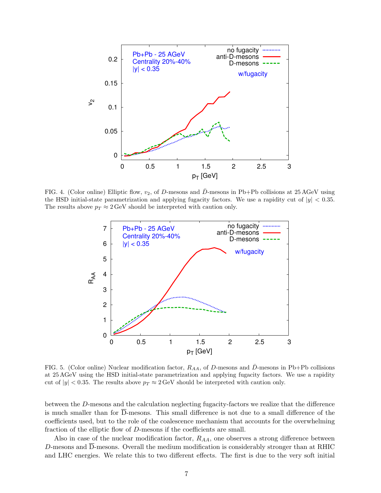

<span id="page-6-0"></span>FIG. 4. (Color online) Elliptic flow,  $v_2$ , of D-mesons and D-mesons in Pb+Pb collisions at 25 AGeV using the HSD initial-state parametrization and applying fugacity factors. We use a rapidity cut of  $|y| < 0.35$ . The results above  $p_T \approx 2 \,\text{GeV}$  should be interpreted with caution only.



<span id="page-6-1"></span>FIG. 5. (Color online) Nuclear modification factor,  $R_{AA}$ , of D-mesons and  $\bar{D}$ -mesons in Pb+Pb collisions at 25 AGeV using the HSD initial-state parametrization and applying fugacity factors. We use a rapidity cut of  $|y| < 0.35$ . The results above  $p_T \approx 2 \,\text{GeV}$  should be interpreted with caution only.

between the D-mesons and the calculation neglecting fugacity-factors we realize that the difference is much smaller than for D-mesons. This small difference is not due to a small difference of the coefficients used, but to the role of the coalescence mechanism that accounts for the overwhelming fraction of the elliptic flow of D-mesons if the coefficients are small.

Also in case of the nuclear modification factor,  $R_{AA}$ , one observes a strong difference between D-mesons and D-mesons. Overall the medium modification is considerably stronger than at RHIC and LHC energies. We relate this to two different effects. The first is due to the very soft initial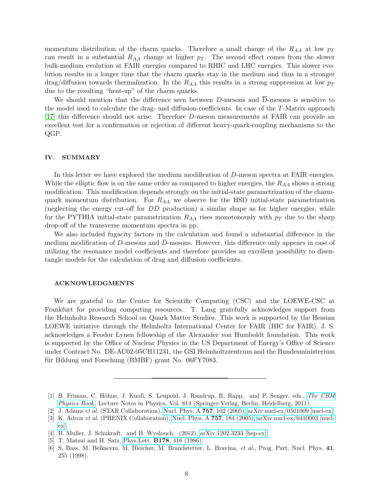momentum distribution of the charm quarks. Therefore a small change of the  $R_{AA}$  at low  $p_T$ can result in a substantial  $R_{AA}$  change at higher  $p_T$ . The second effect comes from the slower bulk-medium evolution at FAIR energies compared to RHIC and LHC energies. This slower evolution results in a longer time that the charm quarks stay in the medium and thus in a stronger drag/diffusion towards thermalization. In the  $R_{AA}$  this results in a strong suppression at low  $p_T$ due to the resulting "heat-up" of the charm quarks.

We should mention that the difference seen between D-mesons and  $\overline{D}$ -mesons is sensitive to the model used to calculate the drag- and diffusion-coefficients. In case of the T-Matrix approach [\[17\]](#page-8-5) this difference should not arise. Therefore D-meson measurements at FAIR can provide an excellent test for a confirmation or rejection of different heavy-quark-coupling mechanisms to the QGP.

# IV. SUMMARY

In this letter we have explored the medium modification of D-meson spectra at FAIR energies. While the elliptic flow is on the same order as compared to higher energies, the  $R_{AA}$  shows a strong modification. This modification depends strongly on the initial-state parametrization of the charmquark momentum distribution. For  $R_{AA}$  we observe for the HSD initial-state parametrization (neglecting the energy cut-off for  $DD$  production) a similar shape as for higher energies, while for the PYTHIA initial-state parametrization  $R_{AA}$  rises monotonously with  $p_T$  due to the sharp drop-off of the transverse momentum spectra in pp.

We also included fugacity factors in the calculation and found a substantial difference in the medium modification of  $D$ -mesons and  $D$ -mesons. However, this difference only appears in case of utilizing the resonance model coefficients and therefore provides an excellent possibility to disentangle models for the calculation of drag and diffusion coefficients.

#### ACKNOWLEDGMENTS

We are grateful to the Center for Scientific Computing (CSC) and the LOEWE-CSC at Frankfurt for providing computing resources. T. Lang gratefully acknowledges support from the Helmholtz Research School on Quark Matter Studies. This work is supported by the Hessian LOEWE initiative through the Helmholtz International Center for FAIR (HIC for FAIR). J. S. acknowledges a Feodor Lynen fellowship of the Alexander von Humboldt foundation. This work is supported by the Office of Nuclear Physics in the US Department of Energy's Office of Science under Contract No. DE-AC02-05CH11231, the GSI Helmholtzzentrum and the Bundesministerium für Bildung und Forschung (BMBF) grant No. 06FY7083.

<span id="page-7-0"></span><sup>[1]</sup> B. Friman, C. Höhne, J. Knoll, S. Leupold, J. Randrup, R. Rapp, and P. Senger, eds., [The CBM](http://www.gsi.de/forschung/fair_experiments/CBM/PhysicsBook.html) [Physics Book](http://www.gsi.de/forschung/fair_experiments/CBM/PhysicsBook.html), Lecture Notes in Physics, Vol. 814 (Springer-Verlag, Berlin, Heidelberg, 2011).

<span id="page-7-1"></span><sup>[2]</sup> J. Adams et al. (STAR Collaboration), [Nucl. Phys. A](http://dx.doi.org/10.1016/j.nuclphysa.2005.03.085) 757, 102 (2005), [arXiv:nucl-ex/0501009 \[nucl-ex\].](http://arxiv.org/abs/nucl-ex/0501009)

<sup>[3]</sup> K. Adcox et al. (PHENIX Collaboration), [Nucl. Phys. A](http://dx.doi.org/10.1016/j.nuclphysa.2005.03.086) 757, 184 (2005), [arXiv:nucl-ex/0410003 \[nucl](http://arxiv.org/abs/nucl-ex/0410003)[ex\].](http://arxiv.org/abs/nucl-ex/0410003)

<span id="page-7-2"></span><sup>[4]</sup> B. Muller, J. Schukraft, and B. Wyslouch, (2012), [arXiv:1202.3233 \[hep-ex\].](http://arxiv.org/abs/1202.3233)

<span id="page-7-3"></span><sup>[5]</sup> T. Matsui and H. Satz, Phys.Lett. B178[, 416 \(1986\).](http://dx.doi.org/10.1016/0370-2693(86)91404-8)

<span id="page-7-4"></span><sup>[6]</sup> S. Bass, M. Belkacem, M. Bleicher, M. Brandstetter, L. Bravina, et al., Prog. Part. Nucl. Phys. 41, 255 (1998).